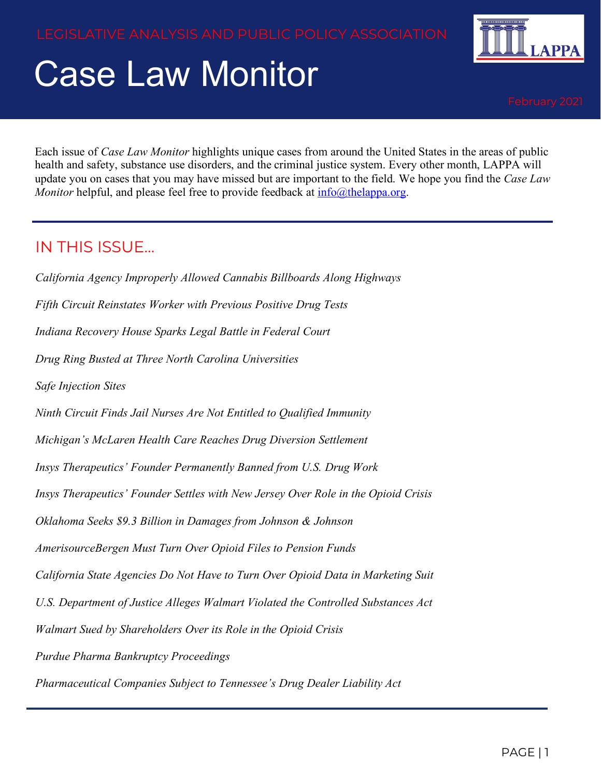# Case Law Monitor



Each issue of *Case Law Monitor* highlights unique cases from around the United States in the areas of public health and safety, substance use disorders, and the criminal justice system. Every other month, LAPPA will update you on cases that you may have missed but are important to the field. We hope you find the *Case Law Monitor* helpful, and please feel free to provide feedback at [info@thelappa.org.](mailto:info@thelappa.org)

#### IN THIS ISSUE…

*California Agency Improperly Allowed Cannabis Billboards Along Highways Fifth Circuit Reinstates Worker with Previous Positive Drug Tests Indiana Recovery House Sparks Legal Battle in Federal Court Drug Ring Busted at Three North Carolina Universities Safe Injection Sites Ninth Circuit Finds Jail Nurses Are Not Entitled to Qualified Immunity Michigan's McLaren Health Care Reaches Drug Diversion Settlement Insys Therapeutics' Founder Permanently Banned from U.S. Drug Work Insys Therapeutics' Founder Settles with New Jersey Over Role in the Opioid Crisis Oklahoma Seeks \$9.3 Billion in Damages from Johnson & Johnson AmerisourceBergen Must Turn Over Opioid Files to Pension Funds California State Agencies Do Not Have to Turn Over Opioid Data in Marketing Suit U.S. Department of Justice Alleges Walmart Violated the Controlled Substances Act Walmart Sued by Shareholders Over its Role in the Opioid Crisis Purdue Pharma Bankruptcy Proceedings Pharmaceutical Companies Subject to Tennessee's Drug Dealer Liability Act*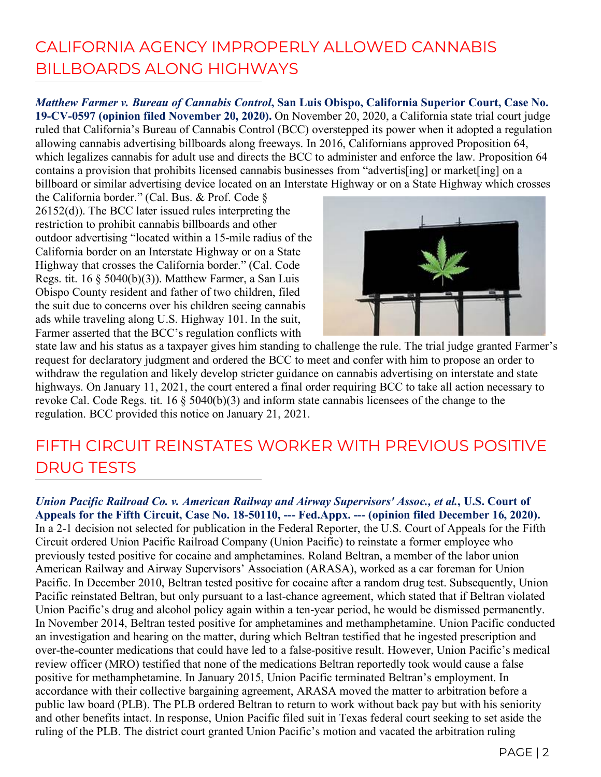#### CALIFORNIA AGENCY IMPROPERLY ALLOWED CANNABIS BILLBOARDS ALONG HIGHWAYS

*Matthew Farmer v. Bureau of Cannabis Control***, San Luis Obispo, California Superior Court, Case No. 19-CV-0597 (opinion filed November 20, 2020).** On November 20, 2020, a California state trial court judge ruled that California's Bureau of Cannabis Control (BCC) overstepped its power when it adopted a regulation allowing cannabis advertising billboards along freeways. In 2016, Californians approved Proposition 64, which legalizes cannabis for adult use and directs the BCC to administer and enforce the law. Proposition 64 contains a provision that prohibits licensed cannabis businesses from "advertis[ing] or market[ing] on a billboard or similar advertising device located on an Interstate Highway or on a State Highway which crosses

the California border." (Cal. Bus. & Prof. Code § 26152(d)). The BCC later issued rules interpreting the restriction to prohibit cannabis billboards and other outdoor advertising "located within a 15-mile radius of the California border on an Interstate Highway or on a State Highway that crosses the California border." (Cal. Code Regs. tit.  $16 \t{ } 5040(b)(3)$ . Matthew Farmer, a San Luis Obispo County resident and father of two children, filed the suit due to concerns over his children seeing cannabis ads while traveling along U.S. Highway 101. In the suit, Farmer asserted that the BCC's regulation conflicts with



state law and his status as a taxpayer gives him standing to challenge the rule. The trial judge granted Farmer's request for declaratory judgment and ordered the BCC to meet and confer with him to propose an order to withdraw the regulation and likely develop stricter guidance on cannabis advertising on interstate and state highways. On January 11, 2021, the court entered a final order requiring BCC to take all action necessary to revoke Cal. Code Regs. tit. 16 § 5040(b)(3) and inform state cannabis licensees of the change to the regulation. BCC provided this notice on January 21, 2021.

#### FIFTH CIRCUIT REINSTATES WORKER WITH PREVIOUS POSITIVE DRUG TESTS

*Union Pacific Railroad Co. v. American Railway and Airway Supervisors' Assoc., et al.***, U.S. Court of Appeals for the Fifth Circuit, Case No. 18-50110, --- Fed.Appx. --- (opinion filed December 16, 2020).**  In a 2-1 decision not selected for publication in the Federal Reporter, the U.S. Court of Appeals for the Fifth Circuit ordered Union Pacific Railroad Company (Union Pacific) to reinstate a former employee who previously tested positive for cocaine and amphetamines. Roland Beltran, a member of the labor union American Railway and Airway Supervisors' Association (ARASA), worked as a car foreman for Union Pacific. In December 2010, Beltran tested positive for cocaine after a random drug test. Subsequently, Union Pacific reinstated Beltran, but only pursuant to a last-chance agreement, which stated that if Beltran violated Union Pacific's drug and alcohol policy again within a ten-year period, he would be dismissed permanently. In November 2014, Beltran tested positive for amphetamines and methamphetamine. Union Pacific conducted an investigation and hearing on the matter, during which Beltran testified that he ingested prescription and over-the-counter medications that could have led to a false-positive result. However, Union Pacific's medical review officer (MRO) testified that none of the medications Beltran reportedly took would cause a false positive for methamphetamine. In January 2015, Union Pacific terminated Beltran's employment. In accordance with their collective bargaining agreement, ARASA moved the matter to arbitration before a public law board (PLB). The PLB ordered Beltran to return to work without back pay but with his seniority and other benefits intact. In response, Union Pacific filed suit in Texas federal court seeking to set aside the ruling of the PLB. The district court granted Union Pacific's motion and vacated the arbitration ruling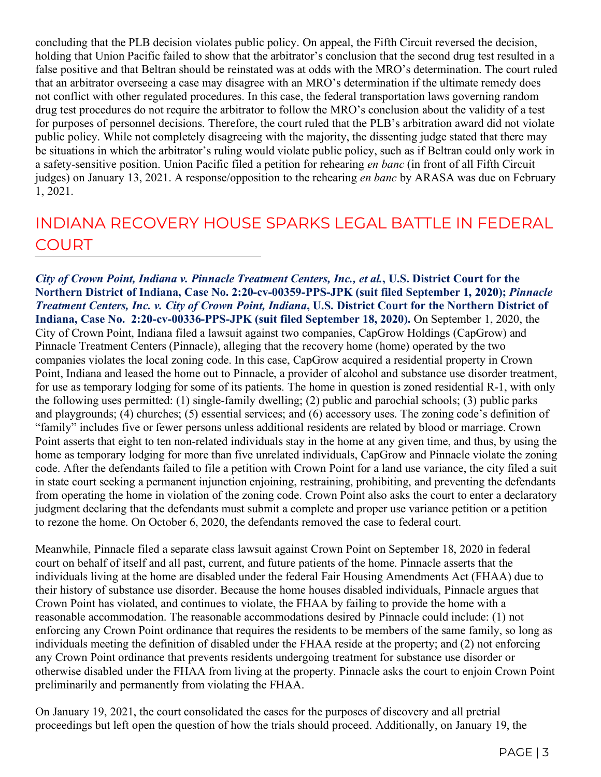concluding that the PLB decision violates public policy. On appeal, the Fifth Circuit reversed the decision, holding that Union Pacific failed to show that the arbitrator's conclusion that the second drug test resulted in a false positive and that Beltran should be reinstated was at odds with the MRO's determination. The court ruled that an arbitrator overseeing a case may disagree with an MRO's determination if the ultimate remedy does not conflict with other regulated procedures. In this case, the federal transportation laws governing random drug test procedures do not require the arbitrator to follow the MRO's conclusion about the validity of a test for purposes of personnel decisions. Therefore, the court ruled that the PLB's arbitration award did not violate public policy. While not completely disagreeing with the majority, the dissenting judge stated that there may be situations in which the arbitrator's ruling would violate public policy, such as if Beltran could only work in a safety-sensitive position. Union Pacific filed a petition for rehearing *en banc* (in front of all Fifth Circuit judges) on January 13, 2021. A response/opposition to the rehearing *en banc* by ARASA was due on February 1, 2021.

#### INDIANA RECOVERY HOUSE SPARKS LEGAL BATTLE IN FEDERAL COURT

*City of Crown Point, Indiana v. Pinnacle Treatment Centers, Inc., et al.***, U.S. District Court for the Northern District of Indiana, Case No. 2:20-cv-00359-PPS-JPK (suit filed September 1, 2020);** *Pinnacle Treatment Centers, Inc. v. City of Crown Point, Indiana***, U.S. District Court for the Northern District of Indiana, Case No. 2:20-cv-00336-PPS-JPK (suit filed September 18, 2020).** On September 1, 2020, the City of Crown Point, Indiana filed a lawsuit against two companies, CapGrow Holdings (CapGrow) and Pinnacle Treatment Centers (Pinnacle), alleging that the recovery home (home) operated by the two companies violates the local zoning code. In this case, CapGrow acquired a residential property in Crown Point, Indiana and leased the home out to Pinnacle, a provider of alcohol and substance use disorder treatment, for use as temporary lodging for some of its patients. The home in question is zoned residential R-1, with only the following uses permitted: (1) single-family dwelling; (2) public and parochial schools; (3) public parks and playgrounds; (4) churches; (5) essential services; and (6) accessory uses. The zoning code's definition of "family" includes five or fewer persons unless additional residents are related by blood or marriage. Crown Point asserts that eight to ten non-related individuals stay in the home at any given time, and thus, by using the home as temporary lodging for more than five unrelated individuals, CapGrow and Pinnacle violate the zoning code. After the defendants failed to file a petition with Crown Point for a land use variance, the city filed a suit in state court seeking a permanent injunction enjoining, restraining, prohibiting, and preventing the defendants from operating the home in violation of the zoning code. Crown Point also asks the court to enter a declaratory judgment declaring that the defendants must submit a complete and proper use variance petition or a petition to rezone the home. On October 6, 2020, the defendants removed the case to federal court.

Meanwhile, Pinnacle filed a separate class lawsuit against Crown Point on September 18, 2020 in federal court on behalf of itself and all past, current, and future patients of the home. Pinnacle asserts that the individuals living at the home are disabled under the federal Fair Housing Amendments Act (FHAA) due to their history of substance use disorder. Because the home houses disabled individuals, Pinnacle argues that Crown Point has violated, and continues to violate, the FHAA by failing to provide the home with a reasonable accommodation. The reasonable accommodations desired by Pinnacle could include: (1) not enforcing any Crown Point ordinance that requires the residents to be members of the same family, so long as individuals meeting the definition of disabled under the FHAA reside at the property; and (2) not enforcing any Crown Point ordinance that prevents residents undergoing treatment for substance use disorder or otherwise disabled under the FHAA from living at the property. Pinnacle asks the court to enjoin Crown Point preliminarily and permanently from violating the FHAA.

On January 19, 2021, the court consolidated the cases for the purposes of discovery and all pretrial proceedings but left open the question of how the trials should proceed. Additionally, on January 19, the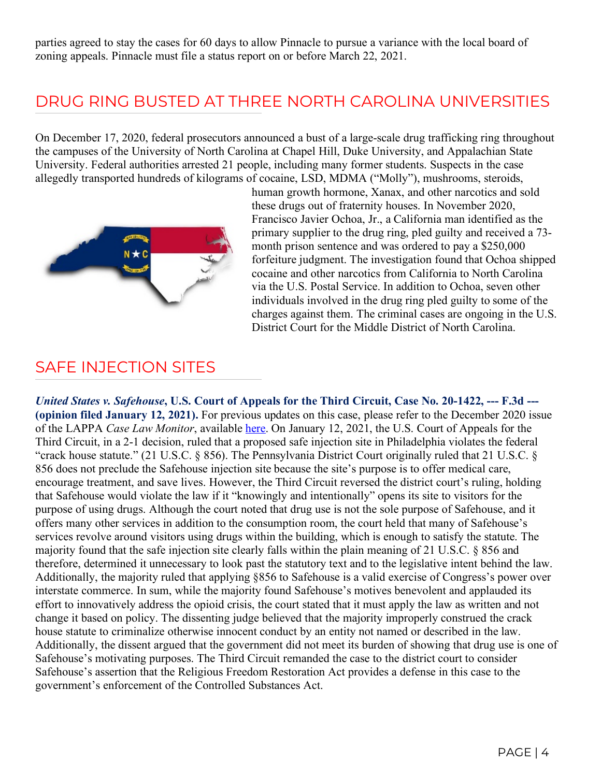parties agreed to stay the cases for 60 days to allow Pinnacle to pursue a variance with the local board of zoning appeals. Pinnacle must file a status report on or before March 22, 2021.

#### DRUG RING BUSTED AT THREE NORTH CAROLINA UNIVERSITIES

On December 17, 2020, federal prosecutors announced a bust of a large-scale drug trafficking ring throughout the campuses of the University of North Carolina at Chapel Hill, Duke University, and Appalachian State University. Federal authorities arrested 21 people, including many former students. Suspects in the case allegedly transported hundreds of kilograms of cocaine, LSD, MDMA ("Molly"), mushrooms, steroids,



human growth hormone, Xanax, and other narcotics and sold these drugs out of fraternity houses. In November 2020, Francisco Javier Ochoa, Jr., a California man identified as the primary supplier to the drug ring, pled guilty and received a 73 month prison sentence and was ordered to pay a \$250,000 forfeiture judgment. The investigation found that Ochoa shipped cocaine and other narcotics from California to North Carolina via the U.S. Postal Service. In addition to Ochoa, seven other individuals involved in the drug ring pled guilty to some of the charges against them. The criminal cases are ongoing in the U.S. District Court for the Middle District of North Carolina.

#### SAFE INJECTION SITES

*United States v. Safehouse***, U.S. Court of Appeals for the Third Circuit, Case No. 20-1422, --- F.3d --- (opinion filed January 12, 2021).** For previous updates on this case, please refer to the December 2020 issue of the LAPPA *Case Law Monitor*, available [here.](http://legislativeanalysis.org/wp-content/uploads/2020/12/December-2020-Case-Law-Monitor.pdf) On January 12, 2021, the U.S. Court of Appeals for the Third Circuit, in a 2-1 decision, ruled that a proposed safe injection site in Philadelphia violates the federal "crack house statute." (21 U.S.C. § 856). The Pennsylvania District Court originally ruled that 21 U.S.C. § 856 does not preclude the Safehouse injection site because the site's purpose is to offer medical care, encourage treatment, and save lives. However, the Third Circuit reversed the district court's ruling, holding that Safehouse would violate the law if it "knowingly and intentionally" opens its site to visitors for the purpose of using drugs. Although the court noted that drug use is not the sole purpose of Safehouse, and it offers many other services in addition to the consumption room, the court held that many of Safehouse's services revolve around visitors using drugs within the building, which is enough to satisfy the statute. The majority found that the safe injection site clearly falls within the plain meaning of 21 U.S.C. § 856 and therefore, determined it unnecessary to look past the statutory text and to the legislative intent behind the law. Additionally, the majority ruled that applying §856 to Safehouse is a valid exercise of Congress's power over interstate commerce. In sum, while the majority found Safehouse's motives benevolent and applauded its effort to innovatively address the opioid crisis, the court stated that it must apply the law as written and not change it based on policy. The dissenting judge believed that the majority improperly construed the crack house statute to criminalize otherwise innocent conduct by an entity not named or described in the law. Additionally, the dissent argued that the government did not meet its burden of showing that drug use is one of Safehouse's motivating purposes. The Third Circuit remanded the case to the district court to consider Safehouse's assertion that the Religious Freedom Restoration Act provides a defense in this case to the government's enforcement of the Controlled Substances Act.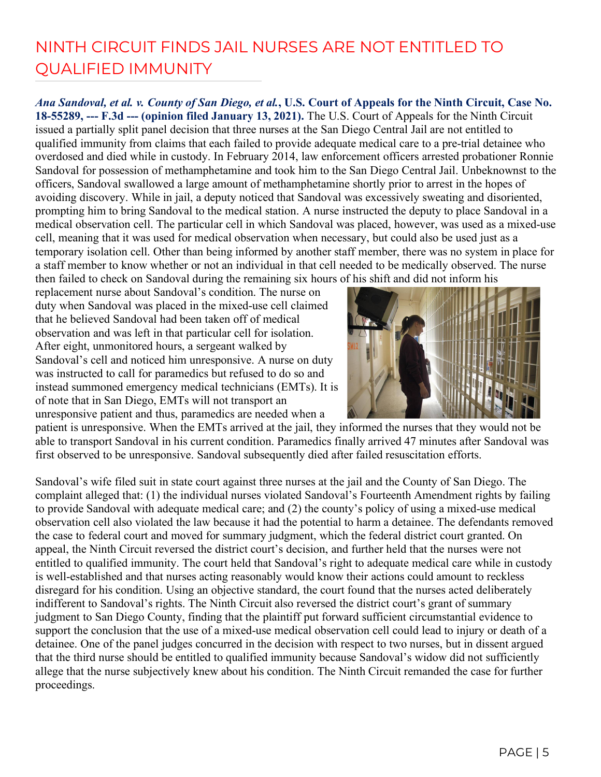#### NINTH CIRCUIT FINDS JAIL NURSES ARE NOT ENTITLED TO QUALIFIED IMMUNITY

*Ana Sandoval, et al. v. County of San Diego, et al.***, U.S. Court of Appeals for the Ninth Circuit, Case No. 18-55289, --- F.3d --- (opinion filed January 13, 2021).** The U.S. Court of Appeals for the Ninth Circuit issued a partially split panel decision that three nurses at the San Diego Central Jail are not entitled to qualified immunity from claims that each failed to provide adequate medical care to a pre-trial detainee who overdosed and died while in custody. In February 2014, law enforcement officers arrested probationer Ronnie Sandoval for possession of methamphetamine and took him to the San Diego Central Jail. Unbeknownst to the officers, Sandoval swallowed a large amount of methamphetamine shortly prior to arrest in the hopes of avoiding discovery. While in jail, a deputy noticed that Sandoval was excessively sweating and disoriented, prompting him to bring Sandoval to the medical station. A nurse instructed the deputy to place Sandoval in a medical observation cell. The particular cell in which Sandoval was placed, however, was used as a mixed-use cell, meaning that it was used for medical observation when necessary, but could also be used just as a temporary isolation cell. Other than being informed by another staff member, there was no system in place for a staff member to know whether or not an individual in that cell needed to be medically observed. The nurse then failed to check on Sandoval during the remaining six hours of his shift and did not inform his

replacement nurse about Sandoval's condition. The nurse on duty when Sandoval was placed in the mixed-use cell claimed that he believed Sandoval had been taken off of medical observation and was left in that particular cell for isolation. After eight, unmonitored hours, a sergeant walked by Sandoval's cell and noticed him unresponsive. A nurse on duty was instructed to call for paramedics but refused to do so and instead summoned emergency medical technicians (EMTs). It is of note that in San Diego, EMTs will not transport an unresponsive patient and thus, paramedics are needed when a



patient is unresponsive. When the EMTs arrived at the jail, they informed the nurses that they would not be able to transport Sandoval in his current condition. Paramedics finally arrived 47 minutes after Sandoval was first observed to be unresponsive. Sandoval subsequently died after failed resuscitation efforts.

Sandoval's wife filed suit in state court against three nurses at the jail and the County of San Diego. The complaint alleged that: (1) the individual nurses violated Sandoval's Fourteenth Amendment rights by failing to provide Sandoval with adequate medical care; and (2) the county's policy of using a mixed-use medical observation cell also violated the law because it had the potential to harm a detainee. The defendants removed the case to federal court and moved for summary judgment, which the federal district court granted. On appeal, the Ninth Circuit reversed the district court's decision, and further held that the nurses were not entitled to qualified immunity. The court held that Sandoval's right to adequate medical care while in custody is well-established and that nurses acting reasonably would know their actions could amount to reckless disregard for his condition. Using an objective standard, the court found that the nurses acted deliberately indifferent to Sandoval's rights. The Ninth Circuit also reversed the district court's grant of summary judgment to San Diego County, finding that the plaintiff put forward sufficient circumstantial evidence to support the conclusion that the use of a mixed-use medical observation cell could lead to injury or death of a detainee. One of the panel judges concurred in the decision with respect to two nurses, but in dissent argued that the third nurse should be entitled to qualified immunity because Sandoval's widow did not sufficiently allege that the nurse subjectively knew about his condition. The Ninth Circuit remanded the case for further proceedings.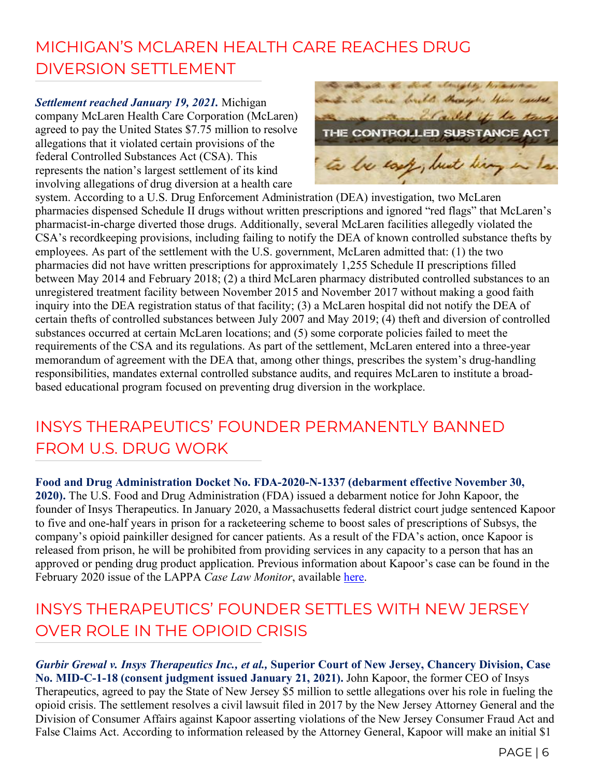## MICHIGAN'S MCLAREN HEALTH CARE REACHES DRUG DIVERSION SETTLEMENT

*Settlement reached January 19, 2021.* Michigan company McLaren Health Care Corporation (McLaren) agreed to pay the United States \$7.75 million to resolve allegations that it violated certain provisions of the federal Controlled Substances Act (CSA). This represents the nation's largest settlement of its kind involving allegations of drug diversion at a health care



system. According to a U.S. Drug Enforcement Administration (DEA) investigation, two McLaren pharmacies dispensed Schedule II drugs without written prescriptions and ignored "red flags" that McLaren's pharmacist-in-charge diverted those drugs. Additionally, several McLaren facilities allegedly violated the CSA's recordkeeping provisions, including failing to notify the DEA of known controlled substance thefts by employees. As part of the settlement with the U.S. government, McLaren admitted that: (1) the two pharmacies did not have written prescriptions for approximately 1,255 Schedule II prescriptions filled between May 2014 and February 2018; (2) a third McLaren pharmacy distributed controlled substances to an unregistered treatment facility between November 2015 and November 2017 without making a good faith inquiry into the DEA registration status of that facility; (3) a McLaren hospital did not notify the DEA of certain thefts of controlled substances between July 2007 and May 2019; (4) theft and diversion of controlled substances occurred at certain McLaren locations; and (5) some corporate policies failed to meet the requirements of the CSA and its regulations. As part of the settlement, McLaren entered into a three-year memorandum of agreement with the DEA that, among other things, prescribes the system's drug-handling responsibilities, mandates external controlled substance audits, and requires McLaren to institute a broadbased educational program focused on preventing drug diversion in the workplace.

#### INSYS THERAPEUTICS' FOUNDER PERMANENTLY BANNED FROM U.S. DRUG WORK

**Food and Drug Administration Docket No. FDA-2020-N-1337 (debarment effective November 30, 2020).** The U.S. Food and Drug Administration (FDA) issued a debarment notice for John Kapoor, the founder of Insys Therapeutics. In January 2020, a Massachusetts federal district court judge sentenced Kapoor to five and one-half years in prison for a racketeering scheme to boost sales of prescriptions of Subsys, the company's opioid painkiller designed for cancer patients. As a result of the FDA's action, once Kapoor is released from prison, he will be prohibited from providing services in any capacity to a person that has an approved or pending drug product application. Previous information about Kapoor's case can be found in the February 2020 issue of the LAPPA *Case Law Monitor*, available [here.](http://legislativeanalysis.org/wp-content/uploads/2020/02/LAPPA-Case-Law-Monitor-Volume-2-Issue-1-1.pdf)

#### INSYS THERAPEUTICS' FOUNDER SETTLES WITH NEW JERSEY OVER ROLE IN THE OPIOID CRISIS

*Gurbir Grewal v. Insys Therapeutics Inc., et al.,* **Superior Court of New Jersey, Chancery Division, Case No. MID-C-1-18 (consent judgment issued January 21, 2021).** John Kapoor, the former CEO of Insys Therapeutics, agreed to pay the State of New Jersey \$5 million to settle allegations over his role in fueling the opioid crisis. The settlement resolves a civil lawsuit filed in 2017 by the New Jersey Attorney General and the Division of Consumer Affairs against Kapoor asserting violations of the New Jersey Consumer Fraud Act and False Claims Act. According to information released by the Attorney General, Kapoor will make an initial \$1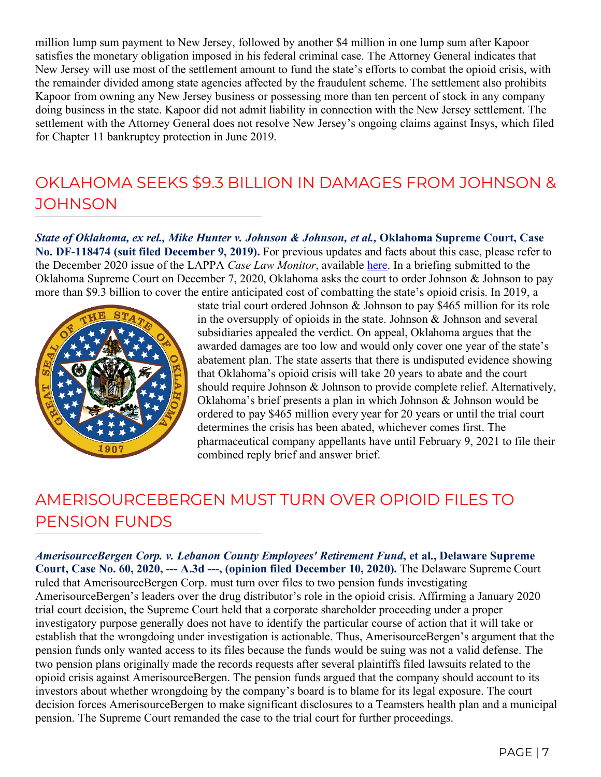million lump sum payment to New Jersey, followed by another \$4 million in one lump sum after Kapoor satisfies the monetary obligation imposed in his federal criminal case. The Attorney General indicates that New Jersey will use most of the settlement amount to fund the state's efforts to combat the opioid crisis, with the remainder divided among state agencies affected by the fraudulent scheme. The settlement also prohibits Kapoor from owning any New Jersey business or possessing more than ten percent of stock in any company doing business in the state. Kapoor did not admit liability in connection with the New Jersey settlement. The settlement with the Attorney General does not resolve New Jersey's ongoing claims against Insys, which filed for Chapter 11 bankruptcy protection in June 2019.

#### OKLAHOMA SEEKS \$9.3 BILLION IN DAMAGES FROM JOHNSON & **JOHNSON**

*State of Oklahoma, ex rel., Mike Hunter v. Johnson & Johnson, et al.,* **Oklahoma Supreme Court, Case No. DF-118474 (suit filed December 9, 2019).** For previous updates and facts about this case, please refer to the December 2020 issue of the LAPPA *Case Law Monitor*, available [here.](http://legislativeanalysis.org/wp-content/uploads/2020/12/December-2020-Case-Law-Monitor.pdf) In a briefing submitted to the Oklahoma Supreme Court on December 7, 2020, Oklahoma asks the court to order Johnson & Johnson to pay more than \$9.3 billion to cover the entire anticipated cost of combatting the state's opioid crisis. In 2019, a



state trial court ordered Johnson & Johnson to pay \$465 million for its role in the oversupply of opioids in the state. Johnson & Johnson and several subsidiaries appealed the verdict. On appeal, Oklahoma argues that the awarded damages are too low and would only cover one year of the state's abatement plan. The state asserts that there is undisputed evidence showing that Oklahoma's opioid crisis will take 20 years to abate and the court should require Johnson & Johnson to provide complete relief. Alternatively, Oklahoma's brief presents a plan in which Johnson & Johnson would be ordered to pay \$465 million every year for 20 years or until the trial court determines the crisis has been abated, whichever comes first. The pharmaceutical company appellants have until February 9, 2021 to file their combined reply brief and answer brief.

## AMERISOURCEBERGEN MUST TURN OVER OPIOID FILES TO PENSION FUNDS

*AmerisourceBergen Corp. v. Lebanon County Employees' Retirement Fund***, et al., Delaware Supreme Court, Case No. 60, 2020, --- A.3d ---, (opinion filed December 10, 2020).** The Delaware Supreme Court ruled that AmerisourceBergen Corp. must turn over files to two pension funds investigating AmerisourceBergen's leaders over the drug distributor's role in the opioid crisis. Affirming a January 2020 trial court decision, the Supreme Court held that a corporate shareholder proceeding under a proper investigatory purpose generally does not have to identify the particular course of action that it will take or establish that the wrongdoing under investigation is actionable. Thus, AmerisourceBergen's argument that the pension funds only wanted access to its files because the funds would be suing was not a valid defense. The two pension plans originally made the records requests after several plaintiffs filed lawsuits related to the opioid crisis against AmerisourceBergen. The pension funds argued that the company should account to its investors about whether wrongdoing by the company's board is to blame for its legal exposure. The court decision forces AmerisourceBergen to make significant disclosures to a Teamsters health plan and a municipal pension. The Supreme Court remanded the case to the trial court for further proceedings.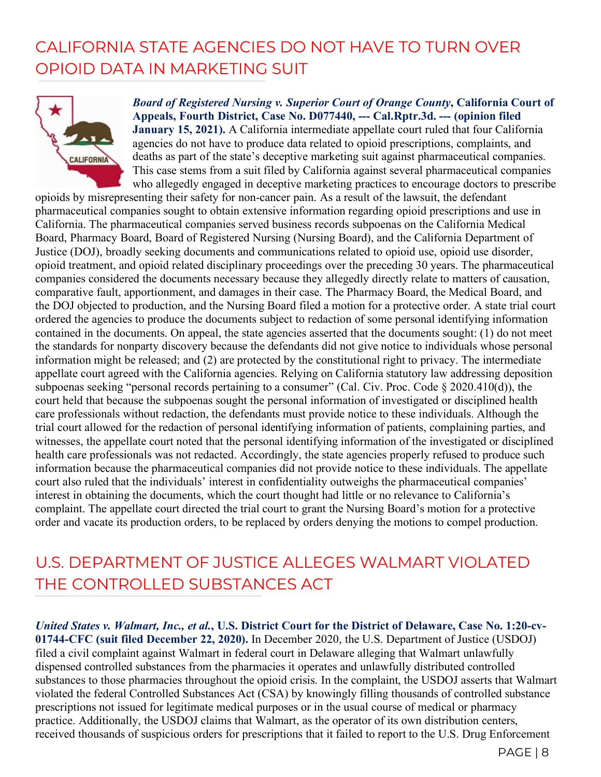#### CALIFORNIA STATE AGENCIES DO NOT HAVE TO TURN OVER OPIOID DATA IN MARKETING SUIT



*Board of Registered Nursing v. Superior Court of Orange County***, California Court of Appeals, Fourth District, Case No. D077440, --- Cal.Rptr.3d. --- (opinion filed January 15, 2021).** A California intermediate appellate court ruled that four California agencies do not have to produce data related to opioid prescriptions, complaints, and deaths as part of the state's deceptive marketing suit against pharmaceutical companies. This case stems from a suit filed by California against several pharmaceutical companies who allegedly engaged in deceptive marketing practices to encourage doctors to prescribe

opioids by misrepresenting their safety for non-cancer pain. As a result of the lawsuit, the defendant pharmaceutical companies sought to obtain extensive information regarding opioid prescriptions and use in California. The pharmaceutical companies served business records subpoenas on the California Medical Board, Pharmacy Board, Board of Registered Nursing (Nursing Board), and the California Department of Justice (DOJ), broadly seeking documents and communications related to opioid use, opioid use disorder, opioid treatment, and opioid related disciplinary proceedings over the preceding 30 years. The pharmaceutical companies considered the documents necessary because they allegedly directly relate to matters of causation, comparative fault, apportionment, and damages in their case. The Pharmacy Board, the Medical Board, and the DOJ objected to production, and the Nursing Board filed a motion for a protective order. A state trial court ordered the agencies to produce the documents subject to redaction of some personal identifying information contained in the documents. On appeal, the state agencies asserted that the documents sought: (1) do not meet the standards for nonparty discovery because the defendants did not give notice to individuals whose personal information might be released; and (2) are protected by the constitutional right to privacy. The intermediate appellate court agreed with the California agencies. Relying on California statutory law addressing deposition subpoenas seeking "personal records pertaining to a consumer" (Cal. Civ. Proc. Code § 2020.410(d)), the court held that because the subpoenas sought the personal information of investigated or disciplined health care professionals without redaction, the defendants must provide notice to these individuals. Although the trial court allowed for the redaction of personal identifying information of patients, complaining parties, and witnesses, the appellate court noted that the personal identifying information of the investigated or disciplined health care professionals was not redacted. Accordingly, the state agencies properly refused to produce such information because the pharmaceutical companies did not provide notice to these individuals. The appellate court also ruled that the individuals' interest in confidentiality outweighs the pharmaceutical companies' interest in obtaining the documents, which the court thought had little or no relevance to California's complaint. The appellate court directed the trial court to grant the Nursing Board's motion for a protective order and vacate its production orders, to be replaced by orders denying the motions to compel production.

#### U.S. DEPARTMENT OF JUSTICE ALLEGES WALMART VIOLATED THE CONTROLLED SUBSTANCES ACT

*United States v. Walmart, Inc., et al.***, U.S. District Court for the District of Delaware, Case No. 1:20-cv-01744-CFC (suit filed December 22, 2020).** In December 2020, the U.S. Department of Justice (USDOJ) filed a civil complaint against Walmart in federal court in Delaware alleging that Walmart unlawfully dispensed controlled substances from the pharmacies it operates and unlawfully distributed controlled substances to those pharmacies throughout the opioid crisis. In the complaint, the USDOJ asserts that Walmart violated the federal Controlled Substances Act (CSA) by knowingly filling thousands of controlled substance prescriptions not issued for legitimate medical purposes or in the usual course of medical or pharmacy practice. Additionally, the USDOJ claims that Walmart, as the operator of its own distribution centers, received thousands of suspicious orders for prescriptions that it failed to report to the U.S. Drug Enforcement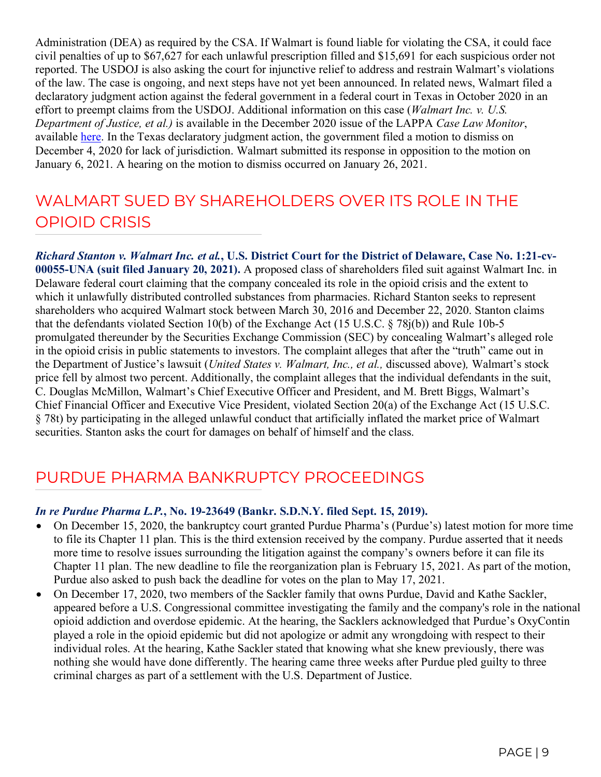Administration (DEA) as required by the CSA. If Walmart is found liable for violating the CSA, it could face civil penalties of up to \$67,627 for each unlawful prescription filled and \$15,691 for each suspicious order not reported. The USDOJ is also asking the court for injunctive relief to address and restrain Walmart's violations of the law. The case is ongoing, and next steps have not yet been announced. In related news, Walmart filed a declaratory judgment action against the federal government in a federal court in Texas in October 2020 in an effort to preempt claims from the USDOJ. Additional information on this case (*Walmart Inc. v. U.S. Department of Justice, et al.)* is available in the December 2020 issue of the LAPPA *Case Law Monitor*, available [here.](http://legislativeanalysis.org/wp-content/uploads/2020/12/December-2020-Case-Law-Monitor.pdf) In the Texas declaratory judgment action, the government filed a motion to dismiss on December 4, 2020 for lack of jurisdiction. Walmart submitted its response in opposition to the motion on January 6, 2021. A hearing on the motion to dismiss occurred on January 26, 2021.

#### WAI MART SUED BY SHAREHOLDERS OVER ITS ROLE IN THE OPIOID CRISIS

*Richard Stanton v. Walmart Inc. et al.***, U.S. District Court for the District of Delaware, Case No. 1:21-cv-00055-UNA (suit filed January 20, 2021).** A proposed class of shareholders filed suit against Walmart Inc. in Delaware federal court claiming that the company concealed its role in the opioid crisis and the extent to which it unlawfully distributed controlled substances from pharmacies. Richard Stanton seeks to represent shareholders who acquired Walmart stock between March 30, 2016 and December 22, 2020. Stanton claims that the defendants violated Section 10(b) of the Exchange Act (15 U.S.C. § 78j(b)) and Rule 10b-5 promulgated thereunder by the Securities Exchange Commission (SEC) by concealing Walmart's alleged role in the opioid crisis in public statements to investors. The complaint alleges that after the "truth" came out in the Department of Justice's lawsuit (*United States v. Walmart, Inc., et al.,* discussed above)*,* Walmart's stock price fell by almost two percent. Additionally, the complaint alleges that the individual defendants in the suit, C. Douglas McMillon, Walmart's Chief Executive Officer and President, and M. Brett Biggs, Walmart's Chief Financial Officer and Executive Vice President, violated Section 20(a) of the Exchange Act (15 U.S.C. § 78t) by participating in the alleged unlawful conduct that artificially inflated the market price of Walmart securities. Stanton asks the court for damages on behalf of himself and the class.

#### PURDUE PHARMA BANKRUPTCY PROCEEDINGS

#### *In re Purdue Pharma L.P.***, No. 19-23649 (Bankr. S.D.N.Y. filed Sept. 15, 2019).**

- On December 15, 2020, the bankruptcy court granted Purdue Pharma's (Purdue's) latest motion for more time to file its Chapter 11 plan. This is the third extension received by the company. Purdue asserted that it needs more time to resolve issues surrounding the litigation against the company's owners before it can file its Chapter 11 plan. The new deadline to file the reorganization plan is February 15, 2021. As part of the motion, Purdue also asked to push back the deadline for votes on the plan to May 17, 2021.
- On December 17, 2020, two members of the Sackler family that owns Purdue, David and Kathe Sackler, appeared before a U.S. Congressional committee investigating the family and the company's role in the national opioid addiction and overdose epidemic. At the hearing, the Sacklers acknowledged that Purdue's OxyContin played a role in the opioid epidemic but did not apologize or admit any wrongdoing with respect to their individual roles. At the hearing, Kathe Sackler stated that knowing what she knew previously, there was nothing she would have done differently. The hearing came three weeks after Purdue pled guilty to three criminal charges as part of a settlement with the U.S. Department of Justice.